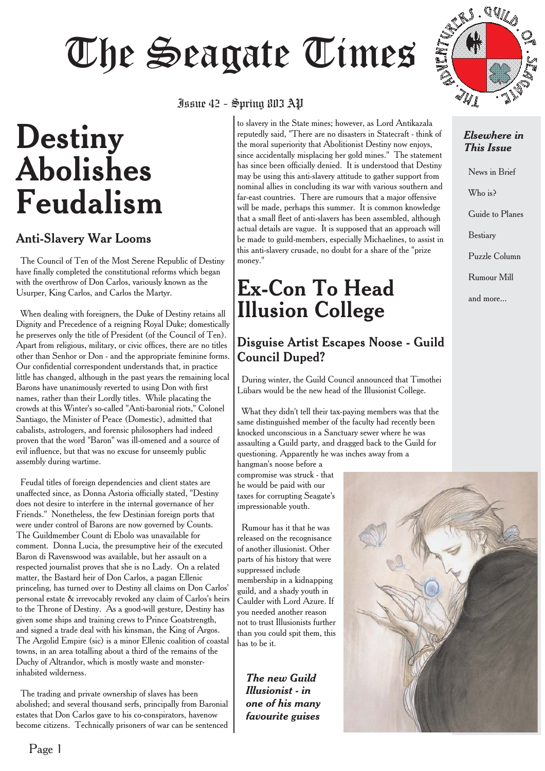# Junue 42 - Spring 811.3 AP

# **Destiny Abolishes Feudalism**

#### Anti-Slavery War Looms

The Council of Ten of the Most Serene Republic of Destiny have finally completed the constitutional reforms which began with the overthrow of Don Carlos, variously known as the Usurper, King Carlos, and Carlos the Martyr.

When dealing with foreigners, the Duke of Destiny retains all Dignity and Precedence of a reigning Royal Duke; domestically he preserves only the title of President (of the Council of Ten). Apart from religious, military, or civic offices, there are no titles other than Senhor or Don - and the appropriate feminine forms. Our confidential correspondent understands that, in practice little has changed, although in the past years the remaining local Barons have unanimously reverted to using Don with first names, rather than their Lordly titles. While placating the crowds at this Winter's so-called "Anti-baronial riots," Colonel Santiago, the Minister of Peace (Domestic), admitted that cabalists, astrologers, and forensic philosophers had indeed proven that the word "Baron" was ill-omened and a source of evil influence, but that was no excuse for unseemly public assembly during wartime.

Feudal titles of foreign dependencies and client states are unaffected since, as Donna Astoria officially stated, "Destiny does not desire to interfere in the internal governance of her Friends." Nonetheless, the few Destinian foreign ports that were under control of Barons are now governed by Counts. The Guildmember Count di Ebolo was unavailable for comment. Donna Lucia, the presumptive heir of the executed Baron di Ravenswood was available, but her assault on a respected journalist proves that she is no Lady. On a related matter, the Bastard heir of Don Carlos, a pagan Ellenic princeling, has turned over to Destiny all claims on Don Carlos' personal estate & irrevocably revoked any claim of Carlos's heirs to the Throne of Destiny. As a good-will gesture, Destiny has given some ships and training crews to Prince Goatstrength, and signed a trade deal with his kinsman, the King of Argos. The Argolid Empire (sic) is a minor Ellenic coalition of coastal towns, in an area totalling about a third of the remains of the Duchy of Altrandor, which is mostly waste and monsterinhabited wilderness.

The trading and private ownership of slaves has been abolished; and several thousand serfs, principally from Baronial estates that Don Carlos gave to his co-conspirators, havenow become citizens. Technically prisoners of war can be sentenced

# $\frac{1}{2}$  - Spring 803  $\frac{1}{2}$

to slavery in the State mines; however, as Lord Antikazala reputedly said, "There are no disasters in Statecraft - think of the moral superiority that Abolitionist Destiny now enjoys, since accidentally misplacing her gold mines." The statement has since been officially denied. It is understood that Destiny may be using this anti-slavery attitude to gather support from nominal allies in concluding its war with various southern and far-east countries. There are rumours that a major offensive will be made, perhaps this summer. It is common knowledge that a small fleet of anti-slavers has been assembled, although actual details are vague. It is supposed that an approach will be made to guild-members, especially Michaelines, to assist in this anti-slavery crusade, no doubt for a share of the "prize money."

# **Ex-Con To Head Illusion College**

#### Disguise Artist Escapes Noose - Guild Council Duped?

During winter, the Guild Council announced that Timothei Lübars would be the new head of the Illusionist College.

What they didn't tell their tax-paying members was that the same distinguished member of the faculty had recently been knocked unconscious in a Sanctuary sewer where he was assaulting a Guild party, and dragged back to the Guild for questioning. Apparently he was inches away from a

hangman's noose before a compromise was struck - that he would be paid with our taxes for corrupting Seagate's impressionable youth.

Rumour has it that he was released on the recognisance of another illusionist. Other parts of his history that were suppressed include membership in a kidnapping guild, and a shady youth in Caulder with Lord Azure. If you needed another reason not to trust Illusionists further than you could spit them, this has to be it.

*The new Guild Illusionist - in one of his many favourite guises*



#### *Elsewhere in This Issue*

News in Brief Who is? Guide to Planes Bestiary Puzzle Column Rumour Mill and more...

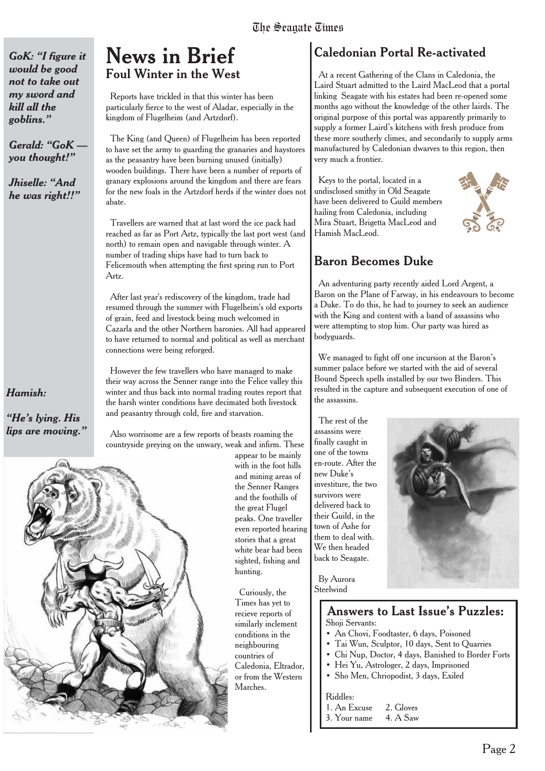*GoK: "I figure it would be good not to take out my sword and kill all the goblins."*

*Gerald: "GoK you thought!"*

*Jhiselle: "And he was right!!"*

#### *Hamish:*

*"He's lying. His lips are moving."*

## **News in Brief Foul Winter in the West**

Reports have trickled in that this winter has been particularly fierce to the west of Aladar, especially in the kingdom of Flugelheim (and Artzdorf).

The King (and Queen) of Flugelheim has been reported to have set the army to guarding the granaries and haystores as the peasantry have been burning unused (initially) wooden buildings. There have been a number of reports of granary explosions around the kingdom and there are fears for the new foals in the Artzdorf herds if the winter does not abate.

Travellers are warned that at last word the ice pack had reached as far as Port Artz, typically the last port west (and north) to remain open and navigable through winter. A number of trading ships have had to turn back to Felicemouth when attempting the first spring run to Port Artz.

After last year's rediscovery of the kingdom, trade had resumed through the summer with Flugelheim's old exports of grain, feed and livestock being much welcomed in Cazarla and the other Northern baronies. All had appeared to have returned to normal and political as well as merchant connections were being reforged.

However the few travellers who have managed to make their way across the Senner range into the Felice valley this winter and thus back into normal trading routes report that the harsh winter conditions have decimated both livestock and peasantry through cold, fire and starvation.

Also worrisome are a few reports of beasts roaming the countryside preying on the unwary, weak and infirm. These



appear to be mainly with in the foot hills and mining areas of the Senner Ranges and the foothills of the great Flugel peaks. One traveller even reported hearing stories that a great white bear had been sighted, fishing and hunting.

Curiously, the Times has yet to recieve reports of similarly inclement conditions in the neighbouring countries of Caledonia, Eltrador, or from the Western Marches.

## Caledonian Portal Re-activated

At a recent Gathering of the Clans in Caledonia, the Laird Stuart admitted to the Laird MacLeod that a portal linking Seagate with his estates had been re-opened some months ago without the knowledge of the other lairds. The original purpose of this portal was apparently primarily to supply a former Laird's kitchens with fresh produce from these more southerly climes, and secondarily to supply arms manufactured by Caledonian dwarves to this region, then very much a frontier.

Keys to the portal, located in a undisclosed smithy in Old Seagate have been delivered to Guild members hailing from Caledonia, including Mira Stuart, Brigetta MacLeod and Hamish MacLeod.



#### **Baron Becomes Duke**

An adventuring party recently aided Lord Argent, a Baron on the Plane of Farway, in his endeavours to become a Duke. To do this, he had to journey to seek an audience with the King and content with a band of assassins who were attempting to stop him. Our party was hired as bodyguards.

We managed to fight off one incursion at the Baron's summer palace before we started with the aid of several Bound Speech spells installed by our two Binders. This resulted in the capture and subsequent execution of one of the assassins.

The rest of the assassins were finally caught in one of the towns en-route. After the new Duke's investiture, the two survivors were delivered back to their Guild, in the town of Ashe for them to deal with. We then headed back to Seagate.



By Aurora **Steelwind** 

#### Answers to Last Issue's Puzzles: Shoji Servants:

- An Chovi, Foodtaster, 6 days, Poisoned
- Tai Wun, Sculptor, 10 days, Sent to Quarries
- Chi Nup, Doctor, 4 days, Banished to Border Forts
- Hei Yu, Astrologer, 2 days, Imprisoned
- Sho Men, Chriopodist, 3 days, Exiled

#### Riddles:

- 1. An Excuse 2. Gloves
- 3. Your name 4. A Saw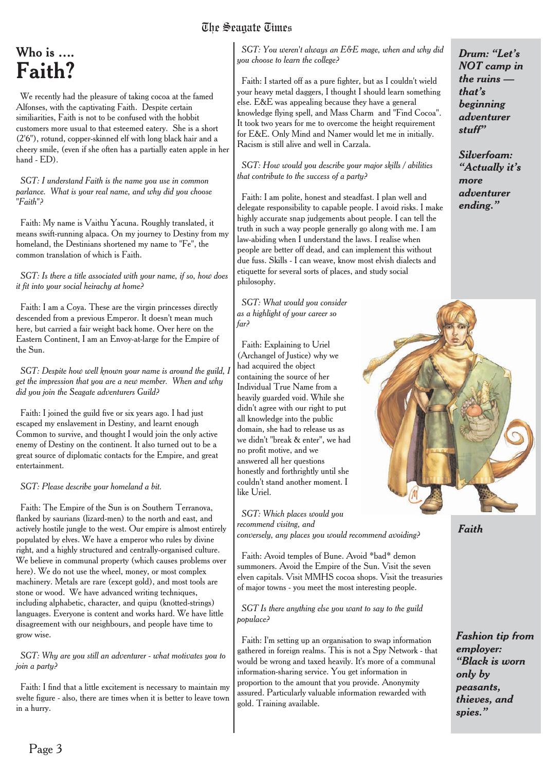# The Seagate Times

# Who is …. **Faith?**

We recently had the pleasure of taking cocoa at the famed Alfonses, with the captivating Faith. Despite certain similiarities, Faith is not to be confused with the hobbit customers more usual to that esteemed eatery. She is a short (2'6"), rotund, copper-skinned elf with long black hair and a cheery smile, (even if she often has a partially eaten apple in her hand - ED).

*SGT: I understand Faith is the name you use in common parlance. What is your real name, and why did you choose "Faith"?*

Faith: My name is Vaithu Yacuna. Roughly translated, it means swift-running alpaca. On my journey to Destiny from my homeland, the Destinians shortened my name to "Fe", the common translation of which is Faith.

*SGT: Is there a title associated with your name, if so, how does it fit into your social heirachy at home?*

Faith: I am a Coya. These are the virgin princesses directly descended from a previous Emperor. It doesn't mean much here, but carried a fair weight back home. Over here on the Eastern Continent, I am an Envoy-at-large for the Empire of the Sun.

*SGT: Despite how well known your name is around the guild, I get the impression that you are a new member. When and why did you join the Seagate adventurers Guild?*

Faith: I joined the guild five or six years ago. I had just escaped my enslavement in Destiny, and learnt enough Common to survive, and thought I would join the only active enemy of Destiny on the continent. It also turned out to be a great source of diplomatic contacts for the Empire, and great entertainment.

#### *SGT: Please describe your homeland a bit.*

Faith: The Empire of the Sun is on Southern Terranova, flanked by saurians (lizard-men) to the north and east, and actively hostile jungle to the west. Our empire is almost entirely populated by elves. We have a emperor who rules by divine right, and a highly structured and centrally-organised culture. We believe in communal property (which causes problems over here). We do not use the wheel, money, or most complex machinery. Metals are rare (except gold), and most tools are stone or wood. We have advanced writing techniques, including alphabetic, character, and quipu (knotted-strings) languages. Everyone is content and works hard. We have little disagreement with our neighbours, and people have time to grow wise.

*SGT: Why are you still an adventurer - what motivates you to join a party?*

Faith: I find that a little excitement is necessary to maintain my svelte figure - also, there are times when it is better to leave town in a hurry.

*SGT: You weren't always an E&E mage, when and why did you choose to learn the college?*

Faith: I started off as a pure fighter, but as I couldn't wield your heavy metal daggers, I thought I should learn something else. E&E was appealing because they have a general knowledge flying spell, and Mass Charm and "Find Cocoa". It took two years for me to overcome the height requirement for E&E. Only Mind and Namer would let me in initially. Racism is still alive and well in Carzala.

*SGT: How would you describe your major skills / abilities that contribute to the success of a party?*

Faith: I am polite, honest and steadfast. I plan well and delegate responsibility to capable people. I avoid risks. I make highly accurate snap judgements about people. I can tell the truth in such a way people generally go along with me. I am law-abiding when I understand the laws. I realise when people are better off dead, and can implement this without due fuss. Skills - I can weave, know most elvish dialects and etiquette for several sorts of places, and study social philosophy.

*SGT: What would you consider as a highlight of your career so far?*

Faith: Explaining to Uriel (Archangel of Justice) why we had acquired the object containing the source of her Individual True Name from a heavily guarded void. While she didn't agree with our right to put all knowledge into the public domain, she had to release us as we didn't "break & enter", we had no profit motive, and we answered all her questions honestly and forthrightly until she couldn't stand another moment. I like Uriel.

*SGT: Which places would you recommend visitng, and conversely, any places you would recommend avoiding?*

Faith: Avoid temples of Bune. Avoid \*bad\* demon summoners. Avoid the Empire of the Sun. Visit the seven elven capitals. Visit MMHS cocoa shops. Visit the treasuries of major towns - you meet the most interesting people.

*SGT Is there anything else you want to say to the guild populace?*

Faith: I'm setting up an organisation to swap information gathered in foreign realms. This is not a Spy Network - that would be wrong and taxed heavily. It's more of a communal information-sharing service. You get information in proportion to the amount that you provide. Anonymity assured. Particularly valuable information rewarded with gold. Training available.

*Drum: "Let's NOT camp in the ruins that's beginning adventurer stuff"*

*Silverfoam: "Actually it's more adventurer ending."*



*Faith*

*Fashion tip from employer: "Black is worn only by peasants, thieves, and spies."*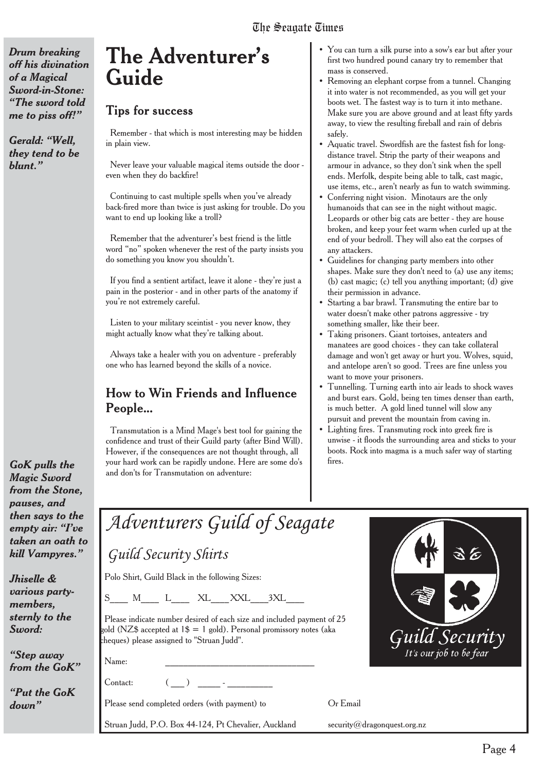Page 4

*Drum breaking off his divination of a Magical Sword-in-Stone: "The sword told me to piss off!"*

*Gerald: "Well, they tend to be blunt."*

# **The Adventurer's Guide**

#### **Tips for success**

Remember - that which is most interesting may be hidden in plain view.

Never leave your valuable magical items outside the door even when they do backfire!

Continuing to cast multiple spells when you've already back-fired more than twice is just asking for trouble. Do you want to end up looking like a troll?

Remember that the adventurer's best friend is the little word "no" spoken whenever the rest of the party insists you do something you know you shouldn't.

If you find a sentient artifact, leave it alone - they're just a pain in the posterior - and in other parts of the anatomy if you're not extremely careful.

Listen to your military sceintist - you never know, they might actually know what they're talking about.

Always take a healer with you on adventure - preferably one who has learned beyond the skills of a novice.

#### How to Win Friends and Influence People...

Transmutation is a Mind Mage's best tool for gaining the confidence and trust of their Guild party (after Bind Will). However, if the consequences are not thought through, all your hard work can be rapidly undone. Here are some do's and don'ts for Transmutation on adventure:

- You can turn a silk purse into a sow's ear but after your first two hundred pound canary try to remember that mass is conserved.
- Removing an elephant corpse from a tunnel. Changing it into water is not recommended, as you will get your boots wet. The fastest way is to turn it into methane. Make sure you are above ground and at least fifty yards away, to view the resulting fireball and rain of debris safely.
- Aquatic travel. Swordfish are the fastest fish for longdistance travel. Strip the party of their weapons and armour in advance, so they don't sink when the spell ends. Merfolk, despite being able to talk, cast magic, use items, etc., aren't nearly as fun to watch swimming.
- Conferring night vision. Minotaurs are the only humanoids that can see in the night without magic. Leopards or other big cats are better - they are house broken, and keep your feet warm when curled up at the end of your bedroll. They will also eat the corpses of any attackers.
- Guidelines for changing party members into other shapes. Make sure they don't need to (a) use any items; (b) cast magic; (c) tell you anything important; (d) give their permission in advance.
- Starting a bar brawl. Transmuting the entire bar to water doesn't make other patrons aggressive - try something smaller, like their beer.
- Taking prisoners. Giant tortoises, anteaters and manatees are good choices - they can take collateral damage and won't get away or hurt you. Wolves, squid, and antelope aren't so good. Trees are fine unless you want to move your prisoners.
- Tunnelling. Turning earth into air leads to shock waves and burst ears. Gold, being ten times denser than earth, is much better. A gold lined tunnel will slow any pursuit and prevent the mountain from caving in.
- Lighting fires. Transmuting rock into greek fire is unwise - it floods the surrounding area and sticks to your boots. Rock into magma is a much safer way of starting fires.

| ıd                                 |                                                                                                                                                                                               |                             |
|------------------------------------|-----------------------------------------------------------------------------------------------------------------------------------------------------------------------------------------------|-----------------------------|
| to the<br>$\cdot$ "I've<br>oath to | Adventurers Guild of Seagate                                                                                                                                                                  |                             |
| yres."                             | Guild Security Shirts                                                                                                                                                                         |                             |
|                                    | Polo Shirt, Guild Black in the following Sizes:                                                                                                                                               |                             |
| ırty-                              | S M L XL XXL 3XL                                                                                                                                                                              |                             |
| the                                | Please indicate number desired of each size and included payment of 25<br>gold (NZ\$ accepted at $1\$ = 1 gold). Personal promissory notes (aka<br>cheques) please assigned to "Struan Judd". | Guild Security              |
| <b>iy</b><br>$\mathcal{G}$ o $K$ " | Name:                                                                                                                                                                                         |                             |
| ${\mathbf G}$ o ${\mathbf K}$      | Contact:                                                                                                                                                                                      |                             |
|                                    | Please send completed orders (with payment) to                                                                                                                                                | Or Email                    |
|                                    | Struan Judd, P.O. Box 44-124, Pt Chevalier, Auckland                                                                                                                                          | security@dragonquest.org.nz |

*GoK pulls the Magic Sword from the Stone, pauses, and then says empty air: taken an kill Vamp* 

*Jhiselle & various po members,* sternly to *Sword:*

*"Step awd from the G* 

*"Put the Gomes" down"*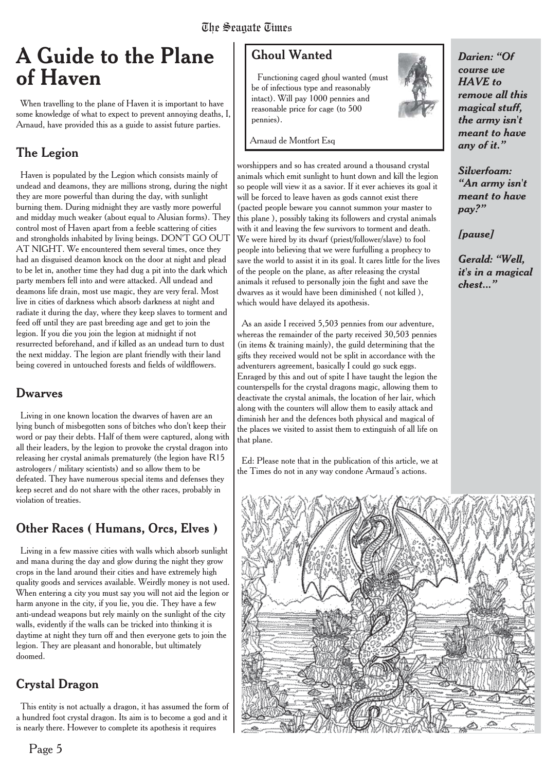# **A Guide to the Plane of Haven**

When travelling to the plane of Haven it is important to have some knowledge of what to expect to prevent annoying deaths, I, Arnaud, have provided this as a guide to assist future parties.

## The Legion

Haven is populated by the Legion which consists mainly of undead and deamons, they are millions strong, during the night they are more powerful than during the day, with sunlight burning them. During midnight they are vastly more powerful and midday much weaker (about equal to Alusian forms). They control most of Haven apart from a feeble scattering of cities and strongholds inhabited by living beings. DON'T GO OUT AT NIGHT. We encountered them several times, once they had an disguised deamon knock on the door at night and plead to be let in, another time they had dug a pit into the dark which party members fell into and were attacked. All undead and deamons life drain, most use magic, they are very feral. Most live in cities of darkness which absorb darkness at night and radiate it during the day, where they keep slaves to torment and feed off until they are past breeding age and get to join the legion. If you die you join the legion at midnight if not resurrected beforehand, and if killed as an undead turn to dust the next midday. The legion are plant friendly with their land being covered in untouched forests and fields of wildflowers.

#### Dwarves

Living in one known location the dwarves of haven are an lying bunch of misbegotten sons of bitches who don't keep their word or pay their debts. Half of them were captured, along with all their leaders, by the legion to provoke the crystal dragon into releasing her crystal animals prematurely (the legion have R15 astrologers / military scientists) and so allow them to be defeated. They have numerous special items and defenses they keep secret and do not share with the other races, probably in violation of treaties.

## Other Races ( Humans, Orcs, Elves )

Living in a few massive cities with walls which absorb sunlight and mana during the day and glow during the night they grow crops in the land around their cities and have extremely high quality goods and services available. Weirdly money is not used. When entering a city you must say you will not aid the legion or harm anyone in the city, if you lie, you die. They have a few anti-undead weapons but rely mainly on the sunlight of the city walls, evidently if the walls can be tricked into thinking it is daytime at night they turn off and then everyone gets to join the legion. They are pleasant and honorable, but ultimately doomed.

### Crystal Dragon

This entity is not actually a dragon, it has assumed the form of a hundred foot crystal dragon. Its aim is to become a god and it is nearly there. However to complete its apothesis it requires

Functioning caged ghoul wanted (must be of infectious type and reasonably intact). Will pay 1000 pennies and reasonable price for cage (to 500 pennies).

Arnaud de Montfort Esq

worshippers and so has created around a thousand crystal animals which emit sunlight to hunt down and kill the legion so people will view it as a savior. If it ever achieves its goal it will be forced to leave haven as gods cannot exist there (pacted people beware you cannot summon your master to this plane ), possibly taking its followers and crystal animals with it and leaving the few survivors to torment and death. We were hired by its dwarf (priest/follower/slave) to fool people into believing that we were furfulling a prophecy to save the world to assist it in its goal. It cares little for the lives of the people on the plane, as after releasing the crystal animals it refused to personally join the fight and save the dwarves as it would have been diminished ( not killed ), which would have delayed its apothesis.

As an aside I received 5,503 pennies from our adventure, whereas the remainder of the party received 30,503 pennies (in items & training mainly), the guild determining that the gifts they received would not be split in accordance with the adventurers agreement, basically I could go suck eggs. Enraged by this and out of spite I have taught the legion the counterspells for the crystal dragons magic, allowing them to deactivate the crystal animals, the location of her lair, which along with the counters will allow them to easily attack and diminish her and the defences both physical and magical of the places we visited to assist them to extinguish of all life on that plane.

Ed: Please note that in the publication of this article, we at the Times do not in any way condone Armaud's actions.



*Darien: "Of course we HAVE to remove all this magical stuff, the army isn't meant to have any of it."*

*Silverfoam: "An army isn't meant to have pay?"*

*[pause]*

*Gerald: "Well, it's in a magical chest..."*

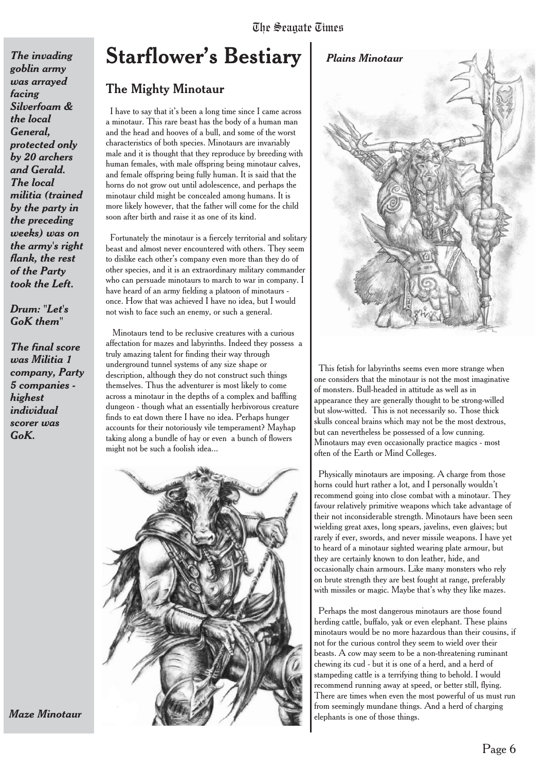# **Starflower's Bestiary** *The invading Plains Minotaur*

#### The Mighty Minotaur

*goblin army was arrayed*

*Silverfoam & the local General,*

*protected only by 20 archers and Gerald. The local*

*militia (trained by the party in the preceding weeks) was on the army's right flank, the rest of the Party took the Left.*

*Drum: "Let's GoK them"*

*The final score was Militia 1 company, Party 5 companies -*

*highest individual scorer was GoK.*

*facing*

I have to say that it's been a long time since I came across a minotaur. This rare beast has the body of a human man and the head and hooves of a bull, and some of the worst characteristics of both species. Minotaurs are invariably male and it is thought that they reproduce by breeding with human females, with male offspring being minotaur calves, and female offspring being fully human. It is said that the horns do not grow out until adolescence, and perhaps the minotaur child might be concealed among humans. It is more likely however, that the father will come for the child soon after birth and raise it as one of its kind.

Fortunately the minotaur is a fiercely territorial and solitary beast and almost never encountered with others. They seem to dislike each other's company even more than they do of other species, and it is an extraordinary military commander who can persuade minotaurs to march to war in company. I have heard of an army fielding a platoon of minotaurs once. How that was achieved I have no idea, but I would not wish to face such an enemy, or such a general.

Minotaurs tend to be reclusive creatures with a curious affectation for mazes and labyrinths. Indeed they possess a truly amazing talent for finding their way through underground tunnel systems of any size shape or description, although they do not construct such things themselves. Thus the adventurer is most likely to come across a minotaur in the depths of a complex and baffling dungeon - though what an essentially herbivorous creature finds to eat down there I have no idea. Perhaps hunger accounts for their notoriously vile temperament? Mayhap taking along a bundle of hay or even a bunch of flowers might not be such a foolish idea...







This fetish for labyrinths seems even more strange when one considers that the minotaur is not the most imaginative of monsters. Bull-headed in attitude as well as in appearance they are generally thought to be strong-willed but slow-witted. This is not necessarily so. Those thick skulls conceal brains which may not be the most dextrous, but can nevertheless be possessed of a low cunning. Minotaurs may even occasionally practice magics - most often of the Earth or Mind Colleges.

Physically minotaurs are imposing. A charge from those horns could hurt rather a lot, and I personally wouldn't recommend going into close combat with a minotaur. They favour relatively primitive weapons which take advantage of their not inconsiderable strength. Minotaurs have been seen wielding great axes, long spears, javelins, even glaives; but rarely if ever, swords, and never missile weapons. I have yet to heard of a minotaur sighted wearing plate armour, but they are certainly known to don leather, hide, and occasionally chain armours. Like many monsters who rely on brute strength they are best fought at range, preferably with missiles or magic. Maybe that's why they like mazes.

Perhaps the most dangerous minotaurs are those found herding cattle, buffalo, yak or even elephant. These plains minotaurs would be no more hazardous than their cousins, if not for the curious control they seem to wield over their beasts. A cow may seem to be a non-threatening ruminant chewing its cud - but it is one of a herd, and a herd of stampeding cattle is a terrifying thing to behold. I would recommend running away at speed, or better still, flying. There are times when even the most powerful of us must run from seemingly mundane things. And a herd of charging elephants is one of those things.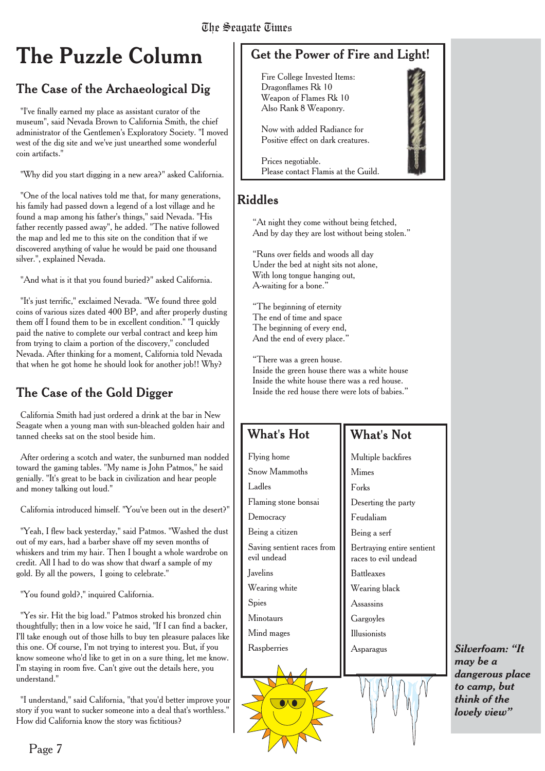# **The Puzzle Column**

## The Case of the Archaeological Dig

"I've finally earned my place as assistant curator of the museum", said Nevada Brown to California Smith, the chief administrator of the Gentlemen's Exploratory Society. "I moved west of the dig site and we've just unearthed some wonderful coin artifacts."

"Why did you start digging in a new area?" asked California.

"One of the local natives told me that, for many generations, his family had passed down a legend of a lost village and he found a map among his father's things," said Nevada. "His father recently passed away", he added. "The native followed the map and led me to this site on the condition that if we discovered anything of value he would be paid one thousand silver.", explained Nevada.

"And what is it that you found buried?" asked California.

"It's just terrific," exclaimed Nevada. "We found three gold coins of various sizes dated 400 BP, and after properly dusting them off I found them to be in excellent condition." "I quickly paid the native to complete our verbal contract and keep him from trying to claim a portion of the discovery," concluded Nevada. After thinking for a moment, California told Nevada that when he got home he should look for another job!! Why?

## The Case of the Gold Digger

California Smith had just ordered a drink at the bar in New Seagate when a young man with sun-bleached golden hair and tanned cheeks sat on the stool beside him.

After ordering a scotch and water, the sunburned man nodded toward the gaming tables. "My name is John Patmos," he said genially. "It's great to be back in civilization and hear people and money talking out loud."

California introduced himself. "You've been out in the desert?"

"Yeah, I flew back yesterday," said Patmos. "Washed the dust out of my ears, had a barber shave off my seven months of whiskers and trim my hair. Then I bought a whole wardrobe on credit. All I had to do was show that dwarf a sample of my gold. By all the powers, I going to celebrate."

"You found gold?," inquired California.

"Yes sir. Hit the big load." Patmos stroked his bronzed chin thoughtfully; then in a low voice he said, "If I can find a backer, I'll take enough out of those hills to buy ten pleasure palaces like this one. Of course, I'm not trying to interest you. But, if you know someone who'd like to get in on a sure thing, let me know. I'm staying in room five. Can't give out the details here, you understand."

"I understand," said California, "that you'd better improve your story if you want to sucker someone into a deal that's worthless." How did California know the story was fictitious?

## Get the Power of Fire and Light!

Fire College Invested Items: Dragonflames Rk 10 Weapon of Flames Rk 10 Also Rank 8 Weaponry.

Now with added Radiance for Positive effect on dark creatures.

Prices negotiable. Please contact Flamis at the Guild.

## Riddles

"At night they come without being fetched, And by day they are lost without being stolen."

"Runs over fields and woods all day Under the bed at night sits not alone, With long tongue hanging out, A-waiting for a bone."

"The beginning of eternity The end of time and space The beginning of every end, And the end of every place.'

"There was a green house. Inside the green house there was a white house Inside the white house there was a red house. Inside the red house there were lots of babies."

## What's Hot

Ladles

Democracy

evil undead Javelins

**Spies** Minotaurs Mind mages **Raspherries** 

### What's Not

Multiple backfires Mimes Forks Deserting the party Feudaliam Being a serf Bertraying entire sentient races to evil undead Battleaxes Wearing black Assassins **Gargovles** Illusionists Asparagus Flying home Snow Mammoths Flaming stone bonsai Being a citizen Saving sentient races from Wearing white

*Silverfoam: "It may be a dangerous place to camp, but think of the lovely view"*